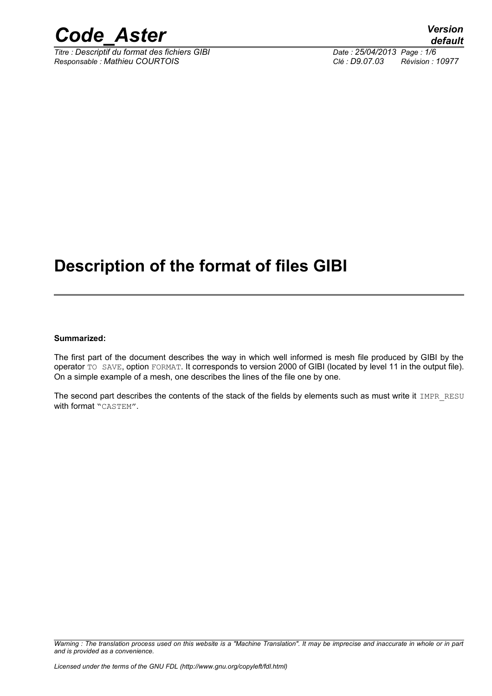

*Titre : Descriptif du format des fichiers GIBI Date : 25/04/2013 Page : 1/6 Responsable : Mathieu COURTOIS Clé : D9.07.03 Révision : 10977*

### **Description of the format of files GIBI**

#### **Summarized:**

The first part of the document describes the way in which well informed is mesh file produced by GIBI by the operator TO SAVE, option FORMAT. It corresponds to version 2000 of GIBI (located by level 11 in the output file). On a simple example of a mesh, one describes the lines of the file one by one.

The second part describes the contents of the stack of the fields by elements such as must write it IMPR\_RESU with format "CASTEM".

*Warning : The translation process used on this website is a "Machine Translation". It may be imprecise and inaccurate in whole or in part and is provided as a convenience.*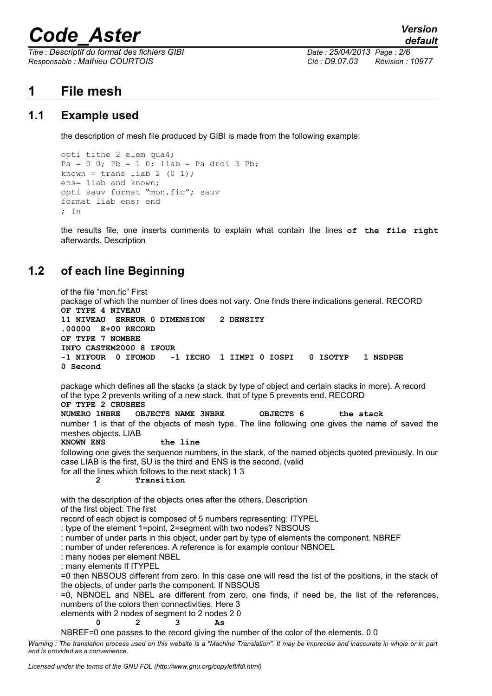# *Code\_Aster Version*

*Titre : Descriptif du format des fichiers GIBI Date : 25/04/2013 Page : 2/6 Responsable : Mathieu COURTOIS Clé : D9.07.03 Révision : 10977*

### **1 File mesh**

#### **1.1 Example used**

the description of mesh file produced by GIBI is made from the following example:

```
opti tithe 2 elem qua4;
Pa = 0 0; Pb = 1 0; liab = Pa droi 3 Pb;known = trans liab 2 (0 1);
ens= liab and known;
opti sauv format "mon.fic"; sauv
format liab ens; end
; In
```
the results file, one inserts comments to explain what contain the lines **of the file right** afterwards. Description

#### **1.2 of each line Beginning**

```
of the file "mon.fic" First
package of which the number of lines does not vary. One finds there indications general. RECORD 
OF TYPE 4 NIVEAU 
11 NIVEAU ERREUR 0 DIMENSION 2 DENSITY 
.00000 E+00 RECORD
OF TYPE 7 NOMBRE 
INFO CASTEM2000 8 IFOUR 
-1 NIFOUR 0 IFOMOD -1 IECHO 1 IIMPI 0 IOSPI 0 ISOTYP 1 NSDPGE 
0 Second 
package which defines all the stacks (a stack by type of object and certain stacks in more). A record
of the type 2 prevents writing of a new stack, that of type 5 prevents end. RECORD 
OF TYPE 2 CRUSHES 
NUMERO 1NBRE OBJECTS NAME 3NBRE OBJECTS 6 the stack
number 1 is that of the objects of mesh type. The line following one gives the name of saved the
meshes objects. LIAB 
KNOWN ENS the line 
following one gives the sequence numbers, in the stack, of the named objects quoted previously. In our
case LIAB is the first, SU is the third and ENS is the second. (valid 
for all the lines which follows to the next stack) 1 3
         2 Transition 
with the description of the objects ones after the others. Description
of the first object: The first
record of each object is composed of 5 numbers representing: ITYPEL
: type of the element 1=point, 2=segment with two nodes? NBSOUS
: number of under parts in this object, under part by type of elements the component. NBREF
: number of under references. A reference is for example contour NBNOEL
: many nodes per element NBEL
: many elements If ITYPEL
=0 then NBSOUS different from zero. In this case one will read the list of the positions, in the stack of
the objects, of under parts the component. If NBSOUS
=0, NBNOEL and NBEL are different from zero, one finds, if need be, the list of the references,
numbers of the colors then connectivities. Here 3
elements with 2 nodes of segment to 2 nodes 2 0 
 0 2 3 As 
NBREF=0 one passes to the record giving the number of the color of the elements. 0 0
```
*Warning : The translation process used on this website is a "Machine Translation". It may be imprecise and inaccurate in whole or in part and is provided as a convenience.*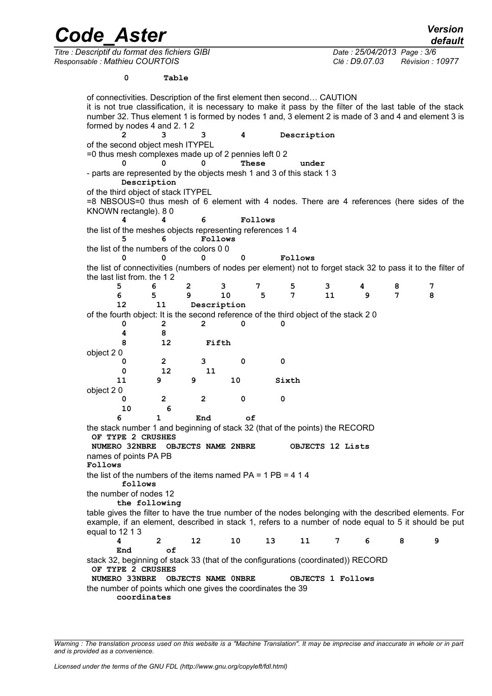*Code\_Aster Version default Titre : Descriptif du format des fichiers GIBI Date : 25/04/2013 Page : 3/6 Responsable : Mathieu COURTOIS Clé : D9.07.03 Révision : 10977*  **0 Table**  of connectivities. Description of the first element then second… CAUTION it is not true classification, it is necessary to make it pass by the filter of the last table of the stack number 32. Thus element 1 is formed by nodes 1 and, 3 element 2 is made of 3 and 4 and element 3 is formed by nodes 4 and 2. 1 2  **2 3 3 4 Description**  of the second object mesh ITYPEL =0 thus mesh complexes made up of 2 pennies left 0 2  **0 0 0 These under**  - parts are represented by the objects mesh 1 and 3 of this stack 1 3  **Description**  of the third object of stack ITYPEL =8 NBSOUS=0 thus mesh of 6 element with 4 nodes. There are 4 references (here sides of the KNOWN rectangle). 8 0  **4 4 6 Follows**  the list of the meshes objects representing references 1 4  **5 6 Follows**  the list of the numbers of the colors 0 0  **0 0 0 0 Follows**  the list of connectivities (numbers of nodes per element) not to forget stack 32 to pass it to the filter of the last list from. the 1 2  **5 6 2 3 7 5 3 4 8 7 6 5 9 10 5 7 11 9 7 8 12 11 Description**  of the fourth object: It is the second reference of the third object of the stack 2 0  **0 2 2 0 0 4 8 8 12 Fifth**  object 2 0  **0 2 3 0 0 0 12 11 11 9 9 10 Sixth**  object 2 0  **0 2 2 0 0 10 6 6 1 End of**  the stack number 1 and beginning of stack 32 (that of the points) the RECORD  **OF TYPE 2 CRUSHES NUMERO 32NBRE OBJECTS NAME 2NBRE OBJECTS 12 Lists**  names of points PA PB **Follows**  the list of the numbers of the items named  $PA = 1 PB = 4 1 4$  **follows**  the number of nodes 12  **the following**  table gives the filter to have the true number of the nodes belonging with the described elements. For example, if an element, described in stack 1, refers to a number of node equal to 5 it should be put equal to 12 1 3  **4 2 12 10 13 11 7 6 8 9 End of**  stack 32, beginning of stack 33 (that of the configurations (coordinated)) RECORD  **OF TYPE 2 CRUSHES NUMERO 33NBRE OBJECTS NAME 0NBRE OBJECTS 1 Follows**  the number of points which one gives the coordinates the 39  **coordinates** 

*Warning : The translation process used on this website is a "Machine Translation". It may be imprecise and inaccurate in whole or in part and is provided as a convenience.*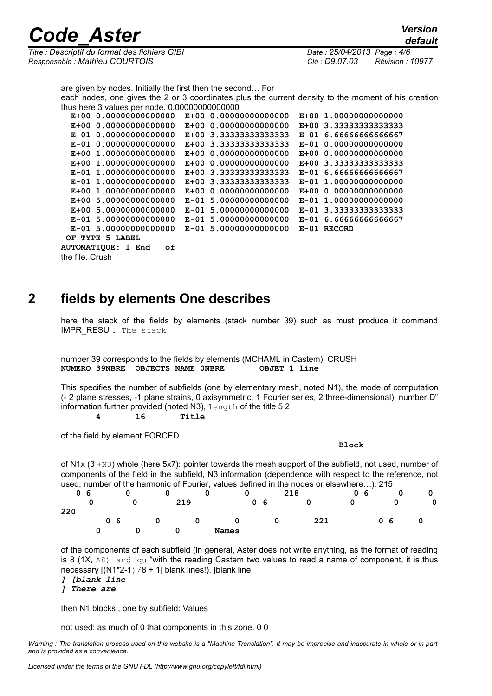## *Code\_Aster Version*

*Titre : Descriptif du format des fichiers GIBI Date : 25/04/2013 Page : 4/6 Responsable : Mathieu COURTOIS Clé : D9.07.03 Révision : 10977*

*default*

are given by nodes. Initially the first then the second… For each nodes, one gives the 2 or 3 coordinates plus the current density to the moment of his creation thus here 3 values per node. 0.00000000000000  **E+00 0.00000000000000 E+00 0.00000000000000 E+00 1.00000000000000 E+00 0.00000000000000 E+00 0.00000000000000 E+00 3.33333333333333 E-01 0.00000000000000 E+00 3.33333333333333 E-01 6.66666666666667 E-01 0.00000000000000 E+00 3.33333333333333 E-01 0.00000000000000 E+00 1.00000000000000 E+00 0.00000000000000 E+00 0.00000000000000 E+00 1.00000000000000 E+00 0.00000000000000 E+00 3.33333333333333 E-01 1.00000000000000 E+00 3.33333333333333 E-01 6.66666666666667 E-01 1.00000000000000 E+00 3.33333333333333 E-01 1.00000000000000 E+00 1.00000000000000 E+00 0.00000000000000 E+00 0.00000000000000 E+00 5.00000000000000 E-01 5.00000000000000 E-01 1.00000000000000 E+00 5.00000000000000 E-01 5.00000000000000 E-01 3.33333333333333 E-01 5.00000000000000 E-01 5.00000000000000 E-01 6.66666666666667 E-01 5.00000000000000 E-01 5.00000000000000 E-01 RECORD OF TYPE 5 LABEL AUTOMATIQUE: 1 End of**  the file. Crush

### **2 fields by elements One describes**

here the stack of the fields by elements (stack number 39) such as must produce it command IMPR RESU. The stack

number 39 corresponds to the fields by elements (MCHAML in Castem). CRUSH **NUMERO 39NBRE OBJECTS NAME 0NBRE OBJET 1 line** 

This specifies the number of subfields (one by elementary mesh, noted N1), the mode of computation (- 2 plane stresses, -1 plane strains, 0 axisymmetric, 1 Fourier series, 2 three-dimensional), number D" information further provided (noted N3), length of the title 52  **4 16 Title** 

of the field by element FORCED

#### **Block Block**

of N1x  $(3 + N3)$  whole (here 5x7): pointer towards the mesh support of the subfield, not used, number of components of the field in the subfield, N3 information (dependence with respect to the reference, not used, number of the harmonic of Fourier, values defined in the nodes or elsewhere…). 215  **0 6 0 0 0 0 218 0 6 0 0**

|     | v v |                | ັບ | ັບ |     | ◡ |       | v |    | 410 |     |   | v v |                | v | . U |
|-----|-----|----------------|----|----|-----|---|-------|---|----|-----|-----|---|-----|----------------|---|-----|
|     |     |                |    |    | 219 |   |       |   | 06 |     | 0   | 0 |     |                |   | 0   |
| 220 |     |                |    |    |     |   |       |   |    |     |     |   |     |                |   |     |
|     |     | 0 <sub>6</sub> |    | 0  |     | 0 | 0     |   |    | 0   | 221 |   |     | 0 <sub>6</sub> |   |     |
|     |     |                |    |    | 0   |   | Names |   |    |     |     |   |     |                |   |     |

of the components of each subfield (in general, Aster does not write anything, as the format of reading is 8  $(1X, AB)$  and qu "with the reading Castem two values to read a name of component, it is thus necessary  $[(N1*2-1)/8 + 1]$  blank lines!). [blank line

*] [blank line ] There are*

then N1 blocks , one by subfield: Values

not used: as much of 0 that components in this zone. 0 0

*Warning : The translation process used on this website is a "Machine Translation". It may be imprecise and inaccurate in whole or in part and is provided as a convenience.*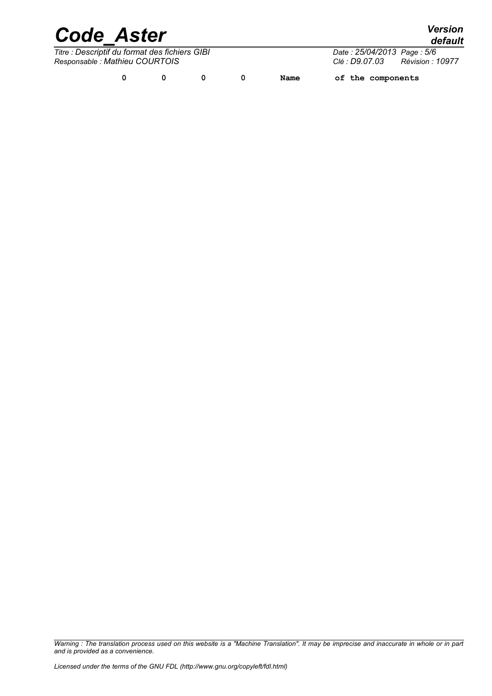| <b>Code Aster</b>                              |  | <b>Version</b><br>default  |                  |      |                   |  |
|------------------------------------------------|--|----------------------------|------------------|------|-------------------|--|
| Titre : Descriptif du format des fichiers GIBI |  | Date: 25/04/2013 Page: 5/6 |                  |      |                   |  |
| Responsable : Mathieu COURTOIS                 |  | Clé : D9.07.03             | Révision : 10977 |      |                   |  |
|                                                |  |                            |                  | Name | of the components |  |

*Warning : The translation process used on this website is a "Machine Translation". It may be imprecise and inaccurate in whole or in part and is provided as a convenience.*